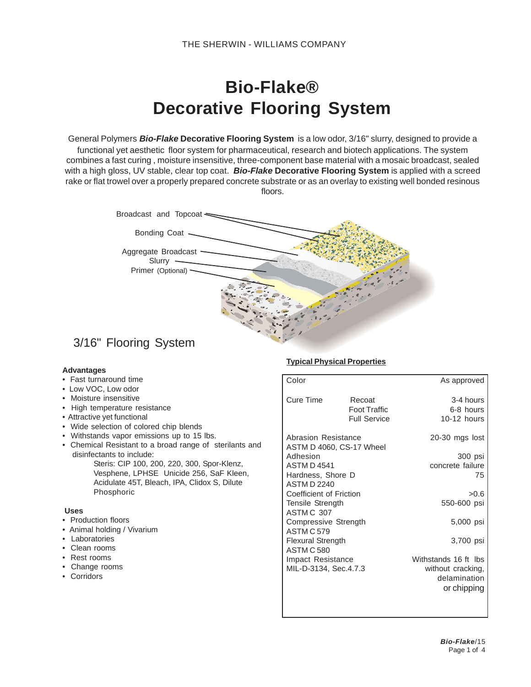# **Bio-Flake® Decorative Flooring System**

General Polymers *Bio-Flake* **Decorative Flooring System** is a low odor, 3/16" slurry, designed to provide a functional yet aesthetic floor system for pharmaceutical, research and biotech applications. The system combines a fast curing , moisture insensitive, three-component base material with a mosaic broadcast, sealed with a high gloss, UV stable, clear top coat. *Bio-Flake* **Decorative Flooring System** is applied with a screed rake or flat trowel over a properly prepared concrete substrate or as an overlay to existing well bonded resinous floors.



# 3/16" Flooring System

#### **Advantages**

- Fast turnaround time
- Low VOC, Low odor
- Moisture insensitive
- High temperature resistance
- Attractive yet functional
- Wide selection of colored chip blends
- Withstands vapor emissions up to 15 lbs.
- Chemical Resistant to a broad range of sterilants and disinfectants to include:
	- Steris: CIP 100, 200, 220, 300, Spor-Klenz, Vesphene, LPHSE Unicide 256, SaF Kleen, Acidulate 45T, Bleach, IPA, Clidox S, Dilute Phosphoric

#### **Uses**

- Production floors
- Animal holding / Vivarium
- Laboratories
- Clean rooms
- Rest rooms
- Change rooms
- Corridors

#### **Typical Physical Properties**

| Color                                           |                     | As approved          |
|-------------------------------------------------|---------------------|----------------------|
| <b>Cure Time</b>                                | Recoat              | $3-4$ hours          |
|                                                 | Foot Traffic        | 6-8 hours            |
|                                                 | <b>Full Service</b> | $10-12$ hours        |
| Abrasion Resistance<br>ASTM D 4060, CS-17 Wheel |                     | $20-30$ mgs lost     |
| Adhesion                                        |                     | 300 psi              |
| <b>ASTM D4541</b>                               |                     | concrete failure     |
| Hardness, Shore D                               |                     | 75                   |
| <b>ASTM D 2240</b>                              |                     |                      |
| Coefficient of Friction                         |                     | >0.6                 |
| <b>Tensile Strength</b>                         |                     | 550-600 psi          |
| ASTM C 307                                      |                     |                      |
| Compressive Strength                            |                     | 5,000 psi            |
| ASTM C 579                                      |                     |                      |
| <b>Flexural Strength</b>                        |                     | 3,700 psi            |
| <b>ASTM C 580</b>                               |                     |                      |
| Impact Resistance                               |                     | Withstands 16 ft lbs |
| MIL-D-3134, Sec.4.7.3                           |                     | without cracking,    |
|                                                 |                     | delamination         |
|                                                 |                     | or chipping          |
|                                                 |                     |                      |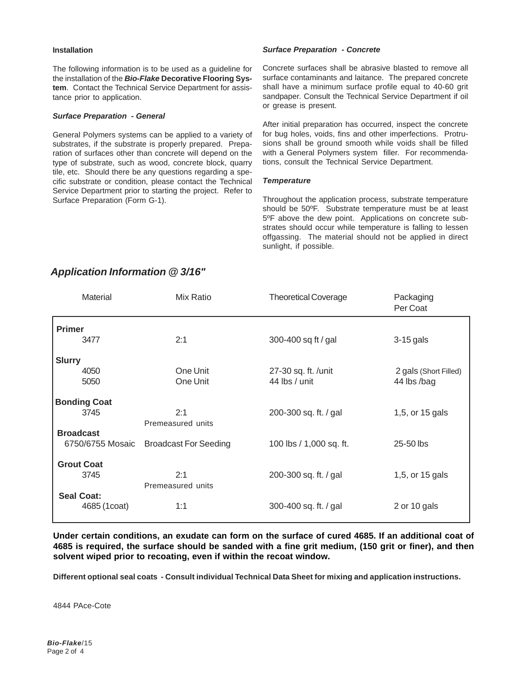#### **Installation**

The following information is to be used as a guideline for the installation of the *Bio-Flake* **Decorative Flooring System**. Contact the Technical Service Department for assistance prior to application.

#### *Surface Preparation - General*

General Polymers systems can be applied to a variety of substrates, if the substrate is properly prepared. Preparation of surfaces other than concrete will depend on the type of substrate, such as wood, concrete block, quarry tile, etc. Should there be any questions regarding a specific substrate or condition, please contact the Technical Service Department prior to starting the project. Refer to Surface Preparation (Form G-1).

#### *Surface Preparation - Concrete*

Concrete surfaces shall be abrasive blasted to remove all surface contaminants and laitance. The prepared concrete shall have a minimum surface profile equal to 40-60 grit sandpaper. Consult the Technical Service Department if oil or grease is present.

After initial preparation has occurred, inspect the concrete for bug holes, voids, fins and other imperfections. Protrusions shall be ground smooth while voids shall be filled with a General Polymers system filler. For recommendations, consult the Technical Service Department.

#### *Temperature*

Throughout the application process, substrate temperature should be 50ºF. Substrate temperature must be at least 5ºF above the dew point. Applications on concrete substrates should occur while temperature is falling to lessen offgassing. The material should not be applied in direct sunlight, if possible.

| Mix Ratio         | <b>Theoretical Coverage</b>         | Packaging<br>Per Coat                            |
|-------------------|-------------------------------------|--------------------------------------------------|
|                   |                                     |                                                  |
| 2:1               | 300-400 sq ft / gal                 | $3-15$ gals                                      |
|                   |                                     |                                                  |
| One Unit          | 27-30 sq. ft. /unit                 | 2 gals (Short Filled)                            |
| One Unit          | 44 lbs / unit                       | 44 lbs /bag                                      |
|                   |                                     |                                                  |
| 2:1               | 200-300 sq. ft. / gal               | 1,5, or 15 gals                                  |
| Premeasured units |                                     |                                                  |
|                   |                                     |                                                  |
|                   |                                     | 25-50 lbs                                        |
|                   |                                     |                                                  |
| 2:1               | 200-300 sq. ft. / gal               | 1,5, or 15 gals                                  |
| Premeasured units |                                     |                                                  |
|                   |                                     |                                                  |
|                   |                                     | 2 or 10 gals                                     |
|                   | <b>Broadcast For Seeding</b><br>1:1 | 100 lbs / 1,000 sq. ft.<br>300-400 sq. ft. / gal |

# *Application Information @ 3/16"*

**Under certain conditions, an exudate can form on the surface of cured 4685. If an additional coat of 4685 is required, the surface should be sanded with a fine grit medium, (150 grit or finer), and then solvent wiped prior to recoating, even if within the recoat window.**

**Different optional seal coats - Consult individual Technical Data Sheet for mixing and application instructions.**

4844 PAce-Cote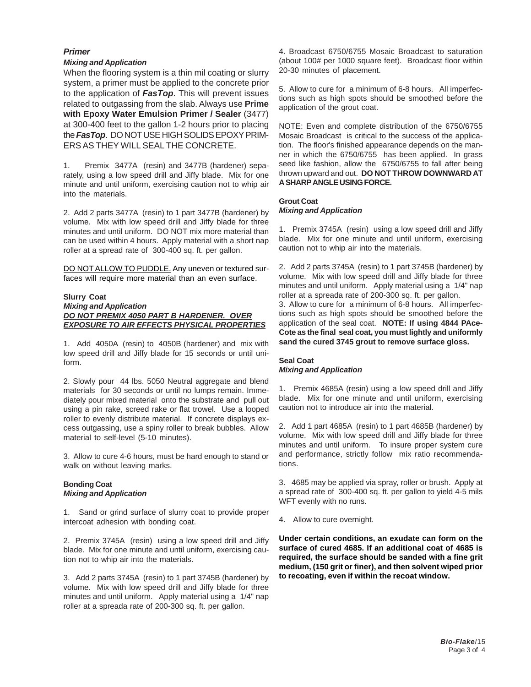#### *Primer*

### *Mixing and Application*

When the flooring system is a thin mil coating or slurry system, a primer must be applied to the concrete prior to the application of *FasTop*. This will prevent issues related to outgassing from the slab. Always use **Prime with Epoxy Water Emulsion Primer / Sealer** (3477) at 300-400 feet to the gallon 1-2 hours prior to placing the *FasTop*. DO NOT USE HIGH SOLIDS EPOXY PRIM-ERS AS THEY WILL SEAL THE CONCRETE.

1. Premix 3477A (resin) and 3477B (hardener) separately, using a low speed drill and Jiffy blade. Mix for one minute and until uniform, exercising caution not to whip air into the materials.

2. Add 2 parts 3477A (resin) to 1 part 3477B (hardener) by volume. Mix with low speed drill and Jiffy blade for three minutes and until uniform. DO NOT mix more material than can be used within 4 hours. Apply material with a short nap roller at a spread rate of 300-400 sq. ft. per gallon.

DO NOTALLOW TO PUDDLE. Any uneven or textured surfaces will require more material than an even surface.

#### **Slurry Coat** *Mixing and Application DO NOT PREMIX 4050 PART B HARDENER. OVER EXPOSURE TO AIR EFFECTS PHYSICAL PROPERTIES*

1. Add 4050A (resin) to 4050B (hardener) and mix with low speed drill and Jiffy blade for 15 seconds or until uniform.

2. Slowly pour 44 lbs. 5050 Neutral aggregate and blend materials for 30 seconds or until no lumps remain. Immediately pour mixed material onto the substrate and pull out using a pin rake, screed rake or flat trowel. Use a looped roller to evenly distribute material. If concrete displays excess outgassing, use a spiny roller to break bubbles. Allow material to self-level (5-10 minutes).

3. Allow to cure 4-6 hours, must be hard enough to stand or walk on without leaving marks.

#### **Bonding Coat** *Mixing and Application*

1. Sand or grind surface of slurry coat to provide proper intercoat adhesion with bonding coat.

2. Premix 3745A (resin) using a low speed drill and Jiffy blade. Mix for one minute and until uniform, exercising caution not to whip air into the materials.

3. Add 2 parts 3745A (resin) to 1 part 3745B (hardener) by volume. Mix with low speed drill and Jiffy blade for three minutes and until uniform. Apply material using a 1/4" nap roller at a spreada rate of 200-300 sq. ft. per gallon.

4. Broadcast 6750/6755 Mosaic Broadcast to saturation (about 100# per 1000 square feet). Broadcast floor within 20-30 minutes of placement.

5. Allow to cure for a minimum of 6-8 hours. All imperfections such as high spots should be smoothed before the application of the grout coat.

NOTE: Even and complete distribution of the 6750/6755 Mosaic Broadcast is critical to the success of the application. The floor's finished appearance depends on the manner in which the 6750/6755 has been applied. In grass seed like fashion, allow the 6750/6755 to fall after being thrown upward and out. **DO NOT THROW DOWNWARD AT A SHARP ANGLE USING FORCE.**

#### **Grout Coat** *Mixing and Application*

1. Premix 3745A (resin) using a low speed drill and Jiffy blade. Mix for one minute and until uniform, exercising caution not to whip air into the materials.

2. Add 2 parts 3745A (resin) to 1 part 3745B (hardener) by volume. Mix with low speed drill and Jiffy blade for three minutes and until uniform. Apply material using a 1/4" nap roller at a spreada rate of 200-300 sq. ft. per gallon. 3. Allow to cure for a minimum of 6-8 hours. All imperfections such as high spots should be smoothed before the application of the seal coat. **NOTE: If using 4844 PAce-Cote as the final seal coat, you must lightly and uniformly sand the cured 3745 grout to remove surface gloss.**

## **Seal Coat** *Mixing and Application*

1. Premix 4685A (resin) using a low speed drill and Jiffy blade. Mix for one minute and until uniform, exercising caution not to introduce air into the material.

2. Add 1 part 4685A (resin) to 1 part 4685B (hardener) by volume. Mix with low speed drill and Jiffy blade for three minutes and until uniform. To insure proper system cure and performance, strictly follow mix ratio recommendations.

3. 4685 may be applied via spray, roller or brush. Apply at a spread rate of 300-400 sq. ft. per gallon to yield 4-5 mils WFT evenly with no runs.

4. Allow to cure overnight.

**Under certain conditions, an exudate can form on the surface of cured 4685. If an additional coat of 4685 is required, the surface should be sanded with a fine grit medium, (150 grit or finer), and then solvent wiped prior to recoating, even if within the recoat window.**